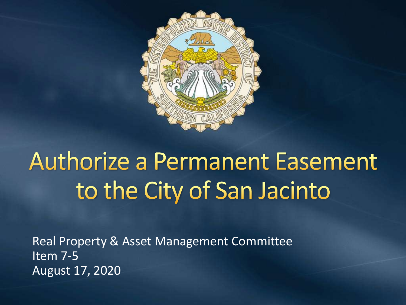

# **Authorize a Permanent Easement** to the City of San Jacinto

Real Property & Asset Management Committee Item 7-5 August 17, 2020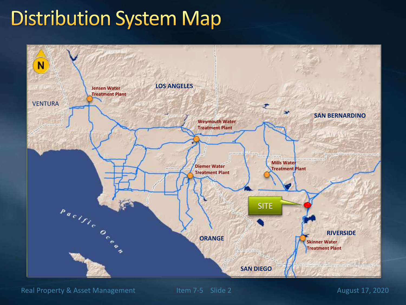#### **Distribution System Map**



Real Property & Asset Management Item 7-5 Slide 2 August 17, 2020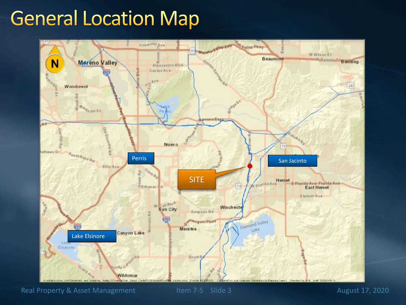### **General Location Map**



Real Property & Asset Management Item 7-5 Slide 3 August 17, 2020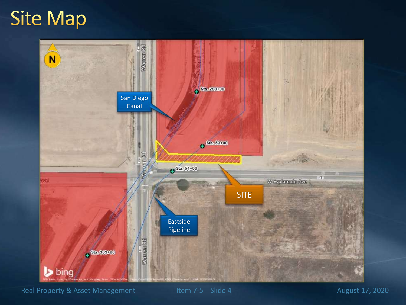### **Site Map**



Real Property & Asset Management Item 7-5 Slide 4 August 17, 2020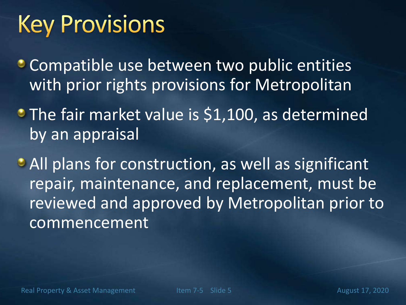## **Key Provisions**

**Compatible use between two public entities** with prior rights provisions for Metropolitan

**• The fair market value is \$1,100, as determined** by an appraisal

**All plans for construction, as well as significant** repair, maintenance, and replacement, must be reviewed and approved by Metropolitan prior to commencement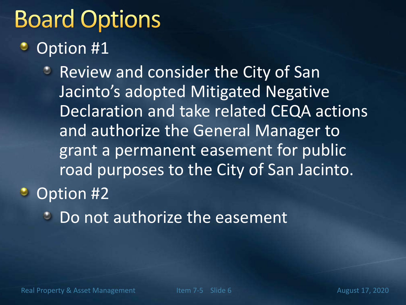## **Board Options**

#### Option #1

- **Review and consider the City of San** Jacinto's adopted Mitigated Negative Declaration and take related CEQA actions and authorize the General Manager to grant a permanent easement for public road purposes to the City of San Jacinto. • Option #2
	- Do not authorize the easement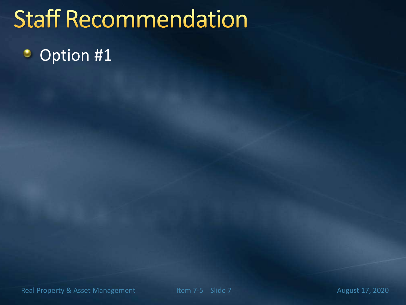## **Staff Recommendation**

#### Option #1٥